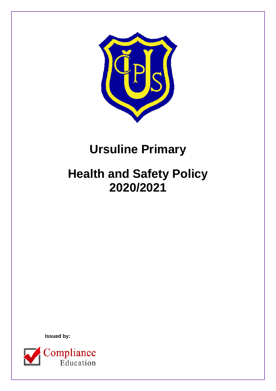

# **Ursuline Primary**

# **Health and Safety Policy 2020/2021**

 **Issued by:**

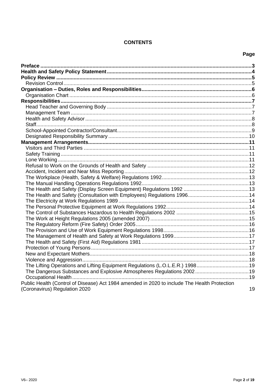# **CONTENTS**

# Page

| The Lifting Operations and Lifting Equipment Regulations (L.O.L.E.R.) 199819                                                  |    |
|-------------------------------------------------------------------------------------------------------------------------------|----|
| The Dangerous Substances and Explosive Atmospheres Regulations 200219                                                         |    |
|                                                                                                                               |    |
| Public Health (Control of Disease) Act 1984 amended in 2020 to include The Health Protection<br>(Coronavirus) Regulation 2020 | 19 |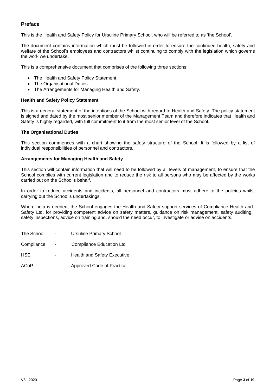# <span id="page-2-0"></span>**Preface**

This is the Health and Safety Policy for Ursuline Primary School, who will be referred to as 'the School'.

The document contains information which must be followed in order to ensure the continued health, safety and welfare of the School's employees and contractors whilst continuing to comply with the legislation which governs the work we undertake.

This is a comprehensive document that comprises of the following three sections:

- The Health and Safety Policy Statement.
- The Organisational Duties.
- The Arrangements for Managing Health and Safety.

#### **Health and Safety Policy Statement**

This is a general statement of the intentions of the School with regard to Health and Safety. The policy statement is signed and dated by the most senior member of the Management Team and therefore indicates that Health and Safety is highly regarded, with full commitment to it from the most senior level of the School.

#### **The Organisational Duties**

This section commences with a chart showing the safety structure of the School. It is followed by a list of individual responsibilities of personnel and contractors.

#### **Arrangements for Managing Health and Safety**

This section will contain information that will need to be followed by all levels of management, to ensure that the School complies with current legislation and to reduce the risk to all persons who may be affected by the works carried out on the School's behalf.

In order to reduce accidents and incidents, all personnel and contractors must adhere to the policies whilst carrying out the School's undertakings.

Where help is needed, the School engages the Health and Safety support services of Compliance Health and Safety Ltd, for providing competent advice on safety matters, guidance on risk management, safety auditing, safety inspections, advice on training and, should the need occur, to investigate or advise on accidents.

| The School | <b>Ursuline Primary School</b>     |
|------------|------------------------------------|
| Compliance | <b>Compliance Education Ltd</b>    |
| HSE.       | <b>Health and Safety Executive</b> |
| ACoP       | Approved Code of Practice          |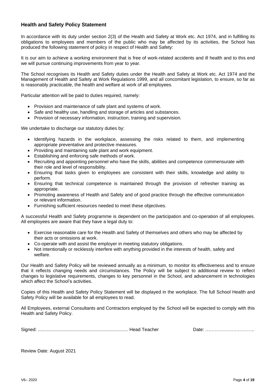# <span id="page-3-0"></span>**Health and Safety Policy Statement**

In accordance with its duty under section 2(3) of the Health and Safety at Work etc. Act 1974, and in fulfilling its obligations to employees and members of the public who may be affected by its activities, the School has produced the following statement of policy in respect of Health and Safety:

It is our aim to achieve a working environment that is free of work-related accidents and ill health and to this end we will pursue continuing improvements from year to year.

The School recognises its Health and Safety duties under the Health and Safety at Work etc. Act 1974 and the Management of Health and Safety at Work Regulations 1999, and all concomitant legislation, to ensure, so far as is reasonably practicable, the health and welfare at work of all employees.

Particular attention will be paid to duties required, namely:

- Provision and maintenance of safe plant and systems of work.
- Safe and healthy use, handling and storage of articles and substances.
- Provision of necessary information, instruction, training and supervision.

We undertake to discharge our statutory duties by:

- Identifying hazards in the workplace, assessing the risks related to them, and implementing appropriate preventative and protective measures.
- Providing and maintaining safe plant and work equipment.
- Establishing and enforcing safe methods of work.
- Recruiting and appointing personnel who have the skills, abilities and competence commensurate with their role and level of responsibility.
- Ensuring that tasks given to employees are consistent with their skills, knowledge and ability to perform.
- Ensuring that technical competence is maintained through the provision of refresher training as appropriate.
- Promoting awareness of Health and Safety and of good practice through the effective communication or relevant information.
- Furnishing sufficient resources needed to meet these objectives.

A successful Health and Safety programme is dependent on the participation and co-operation of all employees. All employees are aware that they have a legal duty to:

- Exercise reasonable care for the Health and Safety of themselves and others who may be affected by their acts or omissions at work.
- Co-operate with and assist the employer in meeting statutory obligations.
- Not intentionally or recklessly interfere with anything provided in the interests of health, safety and welfare.

Our Health and Safety Policy will be reviewed annually as a minimum, to monitor its effectiveness and to ensure that it reflects changing needs and circumstances. The Policy will be subject to additional review to reflect changes to legislative requirements, changes to key personnel in the School, and advancement in technologies which affect the School's activities.

Copies of this Health and Safety Policy Statement will be displayed in the workplace. The full School Health and Safety Policy will be available for all employees to read.

All Employees, external Consultants and Contractors employed by the School will be expected to comply with this Health and Safety Policy.

Signed: ...................................................................... Head Teacher Date: …………………………..

Review Date: August 2021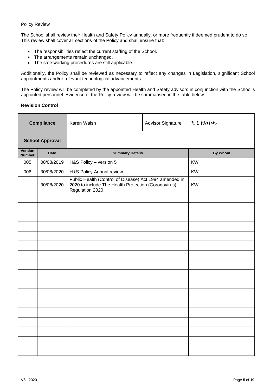#### <span id="page-4-0"></span>Policy Review

The School shall review their Health and Safety Policy annually, or more frequently if deemed prudent to do so. This review shall cover all sections of the Policy and shall ensure that:

- The responsibilities reflect the current staffing of the School.
- The arrangements remain unchanged.
- The safe working procedures are still applicable.

Additionally, the Policy shall be reviewed as necessary to reflect any changes in Legislation, significant School appointments and/or relevant technological advancements.

The Policy review will be completed by the appointed Health and Safety advisors in conjunction with the School's appointed personnel. Evidence of the Policy review will be summarised in the table below.

## <span id="page-4-1"></span>**Revision Control**

| <b>Compliance</b>               |             | Karen Walsh                                                                                                                      | <b>Advisor Signature</b> | K L Walsh      |
|---------------------------------|-------------|----------------------------------------------------------------------------------------------------------------------------------|--------------------------|----------------|
| <b>School Approval</b>          |             |                                                                                                                                  |                          |                |
| <b>Version</b><br><b>Number</b> | <b>Date</b> | <b>Summary Details</b>                                                                                                           |                          | <b>By Whom</b> |
| 005                             | 08/08/2019  | H&S Policy - version 5                                                                                                           |                          | <b>KW</b>      |
| 006                             | 30/08/2020  | H&S Policy Annual review                                                                                                         |                          | <b>KW</b>      |
|                                 | 30/08/2020  | Public Health (Control of Disease) Act 1984 amended in<br>2020 to include The Health Protection (Coronavirus)<br>Regulation 2020 |                          | <b>KW</b>      |
|                                 |             |                                                                                                                                  |                          |                |
|                                 |             |                                                                                                                                  |                          |                |
|                                 |             |                                                                                                                                  |                          |                |
|                                 |             |                                                                                                                                  |                          |                |
|                                 |             |                                                                                                                                  |                          |                |
|                                 |             |                                                                                                                                  |                          |                |
|                                 |             |                                                                                                                                  |                          |                |
|                                 |             |                                                                                                                                  |                          |                |
|                                 |             |                                                                                                                                  |                          |                |
|                                 |             |                                                                                                                                  |                          |                |
|                                 |             |                                                                                                                                  |                          |                |
|                                 |             |                                                                                                                                  |                          |                |
|                                 |             |                                                                                                                                  |                          |                |
|                                 |             |                                                                                                                                  |                          |                |
|                                 |             |                                                                                                                                  |                          |                |
|                                 |             |                                                                                                                                  |                          |                |
|                                 |             |                                                                                                                                  |                          |                |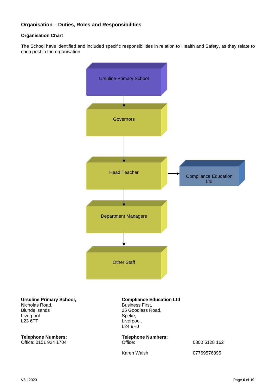# <span id="page-5-0"></span>**Organisation – Duties, Roles and Responsibilities**

# <span id="page-5-1"></span>**Organisation Chart**

The School have identified and included specific responsibilities in relation to Health and Safety, as they relate to each post in the organisation.



**Ursuline Primary School,** Nicholas Road, Blundellsands Liverpool L23 6TT

#### **Compliance Education Ltd**  Business First,

25 Goodlass Road, Speke, Liverpool, L24 9HJ

**Telephone Numbers: Telephone Numbers:** Office: 0151 924 1704 Chicago Chicago Chicago Chicago Chicago Chicago Chicago Chicago Chicago Chicago Chicago Chicago Chicago Chicago Chicago Chicago Chicago Chicago

Karen Walsh 07769576895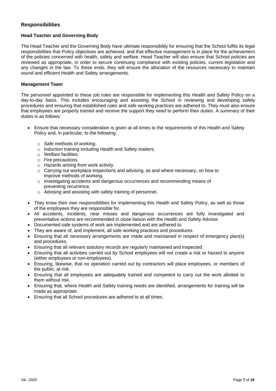# <span id="page-6-0"></span>**Responsibilities**

# <span id="page-6-1"></span>**Head Teacher and Governing Body**

The Head Teacher and the Governing Body have ultimate responsibility for ensuring that the School fulfils its legal responsibilities that Policy objectives are achieved, and that effective management is in place for the achievement of the policies concerned with health, safety and welfare. Head Teacher will also ensure that School policies are reviewed as appropriate, in order to secure continuing compliance with existing policies, current legislation and any changes in the law. To these ends, they will ensure the allocation of the resources necessary to maintain sound and efficient Health and Safety arrangements.

# <span id="page-6-2"></span>**Management Team**

The personnel appointed to these job roles are responsible for implementing this Health and Safety Policy on a day-to-day basis. This includes encouraging and assisting the School in reviewing and developing safety procedures and ensuring that established rules and safe working practices are adhered to. They must also ensure that employees are properly trained and receive the support they need to perform their duties. A summary of their duties is as follows:

- Ensure that necessary consideration is given at all times to the requirements of this Health and Safety Policy and, in particular, to the following:
	- o Safe methods of working.
	- o Induction training including Health and Safety matters.
	- o Welfare facilities.
	- o Fire precautions.
	- o Hazards arising from work activity.
	- $\circ$  Carrying out workplace inspections and advising, as and where necessary, on how to improve methods of working.
	- $\circ$  Investigating accidents and dangerous occurrences and recommending means of preventing recurrence.
	- o Advising and assisting with safety training of personnel.
- They know their own responsibilities for implementing this Health and Safety Policy, as well as those of the employees they are responsible for.
- All accidents, incidents, near misses and dangerous occurrences are fully investigated and preventative actions are recommended in close liaison with the Health and Safety Advisor.
- Documented safe systems of work are implemented and are adhered to.
- They are aware of, and implement, all safe working practices and procedures.
- Ensuring that all necessary arrangements are made and maintained in respect of emergency plan(s) and procedures.
- Ensuring that all relevant statutory records are regularly maintained and inspected.
- Ensuring that all activities carried out by School employees will not create a risk or hazard to anyone (either employees or non-employees).
- Ensuring, likewise, that no operation carried out by contractors will place employees, or members of the public, at risk.
- Ensuring that all employees are adequately trained and competent to carry out the work allotted to them without risk.
- Ensuring that, where Health and Safety training needs are identified, arrangements for training will be made as appropriate.
- Ensuring that all School procedures are adhered to at all times.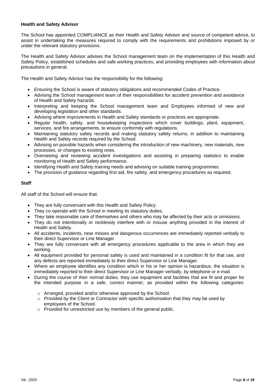#### <span id="page-7-0"></span>**Health and Safety Advisor**

The School has appointed COMPLIANCE as their Health and Safety Advisor and source of competent advice, to assist in undertaking the measures required to comply with the requirements and prohibitions imposed by or under the relevant statutory provisions.

The Health and Safety Advisor advises the School management team on the implementation of this Health and Safety Policy, established schedules and safe working practices, and providing employees with information about precautions in general.

The Health and Safety Advisor has the responsibility for the following:

- Ensuring the School is aware of statutory obligations and recommended Codes of Practice.
- Advising the School management team of their responsibilities for accident prevention and avoidance of Health and Safety hazards.
- Interpreting and keeping the School management team and Employees informed of new and developing legislation and other standards.
- Advising where improvements in Health and Safety standards or practices are appropriate.
- Regular health, safety, and housekeeping inspections which cover buildings, plant, equipment, services, and fire arrangements, to ensure conformity with regulations.
- Maintaining statutory safety records and making statutory safety returns, in addition to maintaining Health and Safety records required by the School.
- Advising on possible hazards when considering the introduction of new machinery, new materials, new processes, or changes to existing ones.
- Overseeing and reviewing accident investigations and assisting in preparing statistics to enable monitoring of Health and Safety performance.
- Identifying Health and Safety training needs and advising on suitable training programmes.
- The provision of guidance regarding first aid, fire safety, and emergency procedures as required.

### <span id="page-7-1"></span>**Staff**

All staff of the School will ensure that:

- They are fully conversant with this Health and Safety Policy.
- They co-operate with the School in meeting its statutory duties.
- They take reasonable care of themselves and others who may be affected by their acts or omissions.
- They do not intentionally or recklessly interfere with or misuse anything provided in the interest of Health and Safety.
- All accidents, incidents, near misses and dangerous occurrences are immediately reported verbally to their direct Supervisor or Line Manager.
- They are fully conversant with all emergency procedures applicable to the area in which they are working.
- All equipment provided for personal safety is used and maintained in a condition fit for that use, and any defects are reported immediately to their direct Supervisor or Line Manager.
- Where an employee identifies any condition which in his or her opinion is hazardous, the situation is immediately reported to their direct Supervisor or Line Manager verbally, by telephone or e-mail.
- During the course of their normal duties, they use equipment and facilities that are fit and proper for the intended purpose in a safe, correct manner, as provided within the following categories:
	- o Arranged, provided and/or otherwise approved by the School.
	- $\circ$  Provided by the Client or Contractor with specific authorisation that they may be used by employees of the School.
	- o Provided for unrestricted use by members of the general public.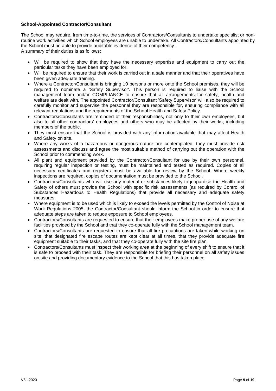# <span id="page-8-0"></span>**School-Appointed Contractor/Consultant**

The School may require, from time-to-time, the services of Contractors/Consultants to undertake specialist or nonroutine work activities which School employees are unable to undertake. All Contractors/Consultants appointed by the School must be able to provide auditable evidence of their competency.

A summary of their duties is as follows:

- Will be required to show that they have the necessary expertise and equipment to carry out the particular tasks they have been employed for.
- Will be required to ensure that their work is carried out in a safe manner and that their operatives have been given adequate training.
- Where a Contractor/Consultant is bringing 10 persons or more onto the School premises, they will be required to nominate a 'Safety Supervisor'. This person is required to liaise with the School management team and/or COMPLIANCE to ensure that all arrangements for safety, health and welfare are dealt with. The appointed Contractor/Consultant 'Safety Supervisor' will also be required to carefully monitor and supervise the personnel they are responsible for, ensuring compliance with all relevant regulations and the requirements of the School Health and Safety Policy.
- Contractors/Consultants are reminded of their responsibilities, not only to their own employees, but also to all other contractors' employees and others who may be affected by their works, including members of the public.
- They must ensure that the School is provided with any information available that may affect Health and Safety on site.
- Where any works of a hazardous or dangerous nature are contemplated, they must provide risk assessments and discuss and agree the most suitable method of carrying out the operation with the School prior to commencing work.
- All plant and equipment provided by the Contractor/Consultant for use by their own personnel, requiring regular inspection or testing, must be maintained and tested as required. Copies of all necessary certificates and registers must be available for review by the School. Where weekly inspections are required, copies of documentation must be provided to the School.
- Contractors/Consultants who will use any material or substances likely to jeopardise the Health and Safety of others must provide the School with specific risk assessments (as required by Control of Substances Hazardous to Health Regulations) that provide all necessary and adequate safety measures.
- Where equipment is to be used which is likely to exceed the levels permitted by the Control of Noise at Work Regulations 2005, the Contractor/Consultant should inform the School in order to ensure that adequate steps are taken to reduce exposure to School employees.
- Contractors/Consultants are requested to ensure that their employees make proper use of any welfare facilities provided by the School and that they co-operate fully with the School management team.
- Contractors/Consultants are requested to ensure that all fire precautions are taken while working on site, that designated fire escape routes are kept clear at all times, that they provide adequate fire equipment suitable to their tasks, and that they co-operate fully with the site fire plan.
- Contractors/Consultants must inspect their working area at the beginning of every shift to ensure that it is safe to proceed with their task. They are responsible for briefing their personnel on all safety issues on site and providing documentary evidence to the School that this has taken place.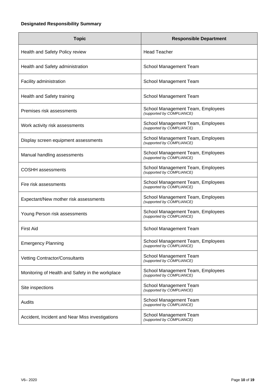# <span id="page-9-0"></span>**Designated Responsibility Summary**

| <b>Topic</b>                                     | <b>Responsible Department</b>                                  |
|--------------------------------------------------|----------------------------------------------------------------|
| Health and Safety Policy review                  | <b>Head Teacher</b>                                            |
| Health and Safety administration                 | School Management Team                                         |
| Facility administration                          | School Management Team                                         |
| Health and Safety training                       | School Management Team                                         |
| Premises risk assessments                        | School Management Team, Employees<br>(supported by COMPLIANCE) |
| Work activity risk assessments                   | School Management Team, Employees<br>(supported by COMPLIANCE) |
| Display screen equipment assessments             | School Management Team, Employees<br>(supported by COMPLIANCE) |
| Manual handling assessments                      | School Management Team, Employees<br>(supported by COMPLIANCE) |
| <b>COSHH</b> assessments                         | School Management Team, Employees<br>(supported by COMPLIANCE) |
| Fire risk assessments                            | School Management Team, Employees<br>(supported by COMPLIANCE) |
| Expectant/New mother risk assessments            | School Management Team, Employees<br>(supported by COMPLIANCE) |
| Young Person risk assessments                    | School Management Team, Employees<br>(supported by COMPLIANCE) |
| <b>First Aid</b>                                 | School Management Team                                         |
| <b>Emergency Planning</b>                        | School Management Team, Employees<br>(supported by COMPLIANCE) |
| Vetting Contractor/Consultants                   | School Management Team<br>(supported by COMPLIANCE)            |
| Monitoring of Health and Safety in the workplace | School Management Team, Employees<br>(supported by COMPLIANCE) |
| Site inspections                                 | School Management Team<br>(supported by COMPLIANCE)            |
| Audits                                           | School Management Team<br>(supported by COMPLIANCE)            |
| Accident, Incident and Near Miss investigations  | School Management Team<br>(supported by COMPLIANCE)            |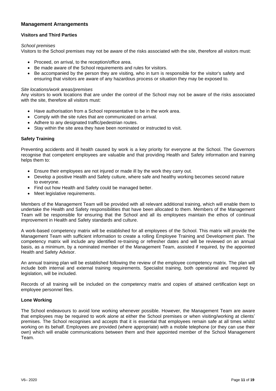# <span id="page-10-0"></span>**Management Arrangements**

# <span id="page-10-1"></span>**Visitors and Third Parties**

#### *School premises*

Visitors to the School premises may not be aware of the risks associated with the site, therefore all visitors must:

- Proceed, on arrival, to the reception/office area.
- Be made aware of the School requirements and rules for visitors.
- Be accompanied by the person they are visiting, who in turn is responsible for the visitor's safety and ensuring that visitors are aware of any hazardous process or situation they may be exposed to.

#### *Site locations/work areas/premises*

Any visitors to work locations that are under the control of the School may not be aware of the risks associated with the site, therefore all visitors must:

- Have authorisation from a School representative to be in the work area.
- Comply with the site rules that are communicated on arrival.
- Adhere to any designated traffic/pedestrian routes.
- Stay within the site area they have been nominated or instructed to visit.

# <span id="page-10-2"></span>**Safety Training**

Preventing accidents and ill health caused by work is a key priority for everyone at the School. The Governors recognise that competent employees are valuable and that providing Health and Safety information and training helps them to:

- Ensure their employees are not injured or made ill by the work they carry out.
- Develop a positive Health and Safety culture, where safe and healthy working becomes second nature to everyone.
- Find out how Health and Safety could be managed better.
- Meet legislative requirements.

Members of the Management Team will be provided with all relevant additional training, which will enable them to undertake the Health and Safety responsibilities that have been allocated to them. Members of the Management Team will be responsible for ensuring that the School and all its employees maintain the ethos of continual improvement in Health and Safety standards and culture.

A work-based competency matrix will be established for all employees of the School. This matrix will provide the Management Team with sufficient information to create a rolling Employee Training and Development plan. The competency matrix will include any identified re-training or refresher dates and will be reviewed on an annual basis, as a minimum, by a nominated member of the Management Team, assisted if required, by the appointed Health and Safety Advisor.

An annual training plan will be established following the review of the employee competency matrix. The plan will include both internal and external training requirements. Specialist training, both operational and required by legislation, will be included.

Records of all training will be included on the competency matrix and copies of attained certification kept on employee personnel files.

#### <span id="page-10-3"></span>**Lone Working**

The School endeavours to avoid lone working whenever possible. However, the Management Team are aware that employees may be required to work alone at either the School premises or when visiting/working at clients' premises. The School recognises and accepts that it is essential that employees remain safe at all times whilst working on its behalf. Employees are provided (where appropriate) with a mobile telephone (or they can use their own) which will enable communications between them and their appointed member of the School Management Team.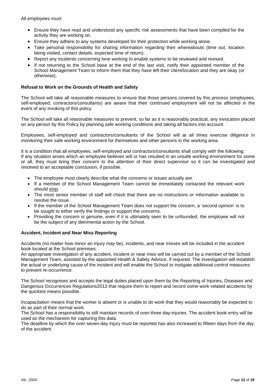All employees must:

- Ensure they have read and understood any specific risk assessments that have been compiled for the activity they are working on.
- Ensure they adhere to any systems developed for their protection while working alone.
- Take personal responsibility for sharing information regarding their whereabouts (time out, location being visited, contact details, expected time of return).
- Report any incidents concerning lone working to enable systems to be reviewed and revised.
- If not returning to the School base at the end of the last visit, notify their appointed member of the School Management Team to inform them that they have left their client/location and they are okay (or otherwise).

#### <span id="page-11-0"></span>**Refusal to Work on the Grounds of Health and Safety**

The School will take all reasonable measures to ensure that those persons covered by this process (employees, self-employed, contractors/consultants) are aware that their continued employment will not be affected in the event of any invoking of this policy.

The School will take all reasonable measures to prevent, so far as it is reasonably practical, any invocation placed on any person by this Policy by planning safe working conditions and taking all factors into account.

Employees, self-employed and contractors/consultants of the School will at all times exercise diligence in monitoring their safe working environment for themselves and other persons in the working area.

It is a condition that all employees, self-employed and contractors/consultants shall comply with the following: If any situation arises which an employee believes will or has resulted in an unsafe working environment for some or all, they must bring their concern to the attention of their direct supervisor so it can be investigated and resolved to an acceptable conclusion, if possible.

- The employee must clearly describe what the concerns or issues actually are.
- If a member of the School Management Team cannot be immediately contacted the relevant work should stop.
- The most senior member of staff will check that there are no instructions or information available to resolve the issue.
- If the member of the School Management Team does not support the concern, a 'second opinion' is to be sought to either verify the findings or support the concerns.
- Providing the concern is genuine, even if it is ultimately seen to be unfounded, the employee will not be the subject of any detrimental action by the School.

#### <span id="page-11-1"></span>**Accident, Incident and Near Miss Reporting**

Accidents (no matter how minor an injury may be), incidents, and near misses will be included in the accident book located at the School premises.

An appropriate investigation of any accident, incident or near miss will be carried out by a member of the School Management Team, assisted by the appointed Health & Safety Advisor, if required. The investigation will establish the actual or underlying cause of the incident and will enable the School to instigate additional control measures to prevent re-occurrence.

The School recognises and accepts the legal duties placed upon them by the Reporting of Injuries, Diseases and Dangerous Occurrences Regulations2013 that require them to report and record some work-related accidents by the quickest means possible.

Incapacitation means that the worker is absent or is unable to do work that they would reasonably be expected to do as part of their normal work.

The School has a responsibility to still maintain records of over-three day-injuries. The accident book entry will be used as the mechanism for capturing this data.

The deadline by which the over-seven-day injury must be reported has also increased to fifteen days from the day of the accident.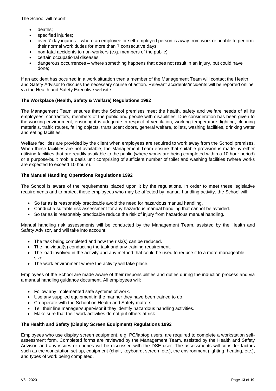The School will report:

- deaths;
- specified injuries:
- over-7-day injuries where an employee or self-employed person is away from work or unable to perform their normal work duties for more than 7 consecutive days;
- non-fatal accidents to non-workers (e.g. members of the public)
- certain occupational diseases;
- dangerous occurrences where something happens that does not result in an injury, but could have done;

If an accident has occurred in a work situation then a member of the Management Team will contact the Health and Safety Advisor to discuss the necessary course of action. Relevant accidents/incidents will be reported online via the Health and Safety Executive website.

# <span id="page-12-0"></span>**The Workplace (Health, Safety & Welfare) Regulations 1992**

The Management Team ensures that the School premises meet the health, safety and welfare needs of all its employees, contractors, members of the public and people with disabilities. Due consideration has been given to the working environment, ensuring it is adequate in respect of ventilation, working temperature, lighting, cleaning materials, traffic routes, falling objects, translucent doors, general welfare, toilets, washing facilities, drinking water and eating facilities.

Welfare facilities are provided by the client when employees are required to work away from the School premises. When these facilities are not available, the Management Team ensure that suitable provision is made by either utilising facilities that are readily available to the public (where works are being completed within a 10 hour period) or a purpose-built mobile oasis unit comprising of sufficient number of toilet and washing facilities (where works are expected to exceed 10 hours).

# <span id="page-12-1"></span>**The Manual Handling Operations Regulations 1992**

The School is aware of the requirements placed upon it by the regulations. In order to meet these legislative requirements and to protect those employees who may be affected by manual handling activity, the School will:

- So far as is reasonably practicable avoid the need for hazardous manual handling.
- Conduct a suitable risk assessment for any hazardous manual handling that cannot be avoided.
- So far as is reasonably practicable reduce the risk of injury from hazardous manual handling.

Manual handling risk assessments will be conducted by the Management Team, assisted by the Health and Safety Advisor, and will take into account:

- The task being completed and how the risk(s) can be reduced.
- The individual(s) conducting the task and any training requirement.
- The load involved in the activity and any method that could be used to reduce it to a more manageable size.
- The work environment where the activity will take place.

Employees of the School are made aware of their responsibilities and duties during the induction process and via a manual handling guidance document. All employees will:

- Follow any implemented safe systems of work.
- Use any supplied equipment in the manner they have been trained to do.
- Co-operate with the School on Health and Safety matters.
- Tell their line manager/supervisor if they identify hazardous handling activities.
- Make sure that their work activities do not put others at risk.

# <span id="page-12-2"></span>**The Health and Safety (Display Screen Equipment) Regulations 1992**

Employees who use display screen equipment, e.g. PC/laptop users, are required to complete a workstation selfassessment form. Completed forms are reviewed by the Management Team, assisted by the Health and Safety Advisor, and any issues or queries will be discussed with the DSE user. The assessments will consider factors such as the workstation set-up, equipment (chair, keyboard, screen, etc.), the environment (lighting, heating, etc.), and types of work being completed.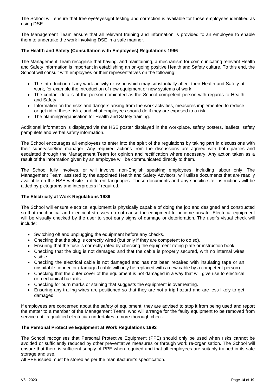The School will ensure that free eye/eyesight testing and correction is available for those employees identified as using DSE.

The Management Team ensure that all relevant training and information is provided to an employee to enable them to undertake the work involving DSE in a safe manner.

# <span id="page-13-0"></span>**The Health and Safety (Consultation with Employees) Regulations 1996**

The Management Team recognise that having, and maintaining, a mechanism for communicating relevant Health and Safety information is important in establishing an on-going positive Health and Safety culture. To this end, the School will consult with employees or their representatives on the following:

- The introduction of any work activity or issue which may substantially affect their Health and Safety at work, for example the introduction of new equipment or new systems of work.
- The contact details of the person nominated as the School competent person with regards to Health and Safety.
- Information on the risks and dangers arising from the work activities, measures implemented to reduce or get rid of these risks, and what employees should do if they are exposed to a risk.
- The planning/organisation for Health and Safety training.

Additional information is displayed via the HSE poster displayed in the workplace, safety posters, leaflets, safety pamphlets and verbal safety information.

The School encourages all employees to enter into the spirit of the regulations by taking part in discussions with their supervisor/line manager. Any required actions from the discussions are agreed with both parties and escalated through the Management Team for opinion and rectification where necessary. Any action taken as a result of the information given by an employee will be communicated directly to them.

The School fully involves, or will involve, non-English speaking employees, including labour only. The Management Team, assisted by the appointed Health and Safety Advisors, will utilise documents that are readily available on the HSE website in different languages. These documents and any specific site instructions will be aided by pictograms and interpreters if required.

# <span id="page-13-1"></span>**The Electricity at Work Regulations 1989**

The School will ensure electrical equipment is physically capable of doing the job and designed and constructed so that mechanical and electrical stresses do not cause the equipment to become unsafe. Electrical equipment will be visually checked by the user to spot early signs of damage or deterioration. The user's visual check will include:

- Switching off and unplugging the equipment before any checks.
- Checking that the plug is correctly wired (but only if they are competent to do so).
- Ensuring that the fuse is correctly rated by checking the equipment rating plate or instruction book.
- Checking that the plug is not damaged and that the cable is properly secured, with no internal wires visible.
- Checking the electrical cable is not damaged and has not been repaired with insulating tape or an unsuitable connector (damaged cable will only be replaced with a new cable by a competent person).
- Checking that the outer cover of the equipment is not damaged in a way that will give rise to electrical or mechanical hazards.
- Checking for burn marks or staining that suggests the equipment is overheating.
- Ensuring any trailing wires are positioned so that they are not a trip hazard and are less likely to get damaged.

If employees are concerned about the safety of equipment, they are advised to stop it from being used and report the matter to a member of the Management Team, who will arrange for the faulty equipment to be removed from service until a qualified electrician undertakes a more thorough check.

# <span id="page-13-2"></span>**The Personal Protective Equipment at Work Regulations 1992**

The School recognises that Personal Protective Equipment (PPE) should only be used when risks cannot be avoided or sufficiently reduced by other preventative measures or through work re-organisation. The School will ensure that there is sufficient supply of PPE when required and that all employees are suitably trained in its safe storage and use.

All PPE issued must be stored as per the manufacturer's specification.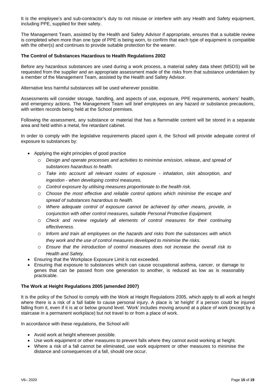It is the employee's and sub-contractor's duty to not misuse or interfere with any Health and Safety equipment, including PPE, supplied for their safety.

The Management Team, assisted by the Health and Safety Advisor if appropriate, ensures that a suitable review is completed when more than one type of PPE is being worn, to confirm that each type of equipment is compatible with the other(s) and continues to provide suitable protection for the wearer.

## <span id="page-14-0"></span>**The Control of Substances Hazardous to Health Regulations 2002**

Before any hazardous substances are used during a work process, a material safety data sheet (MSDS) will be requested from the supplier and an appropriate assessment made of the risks from that substance undertaken by a member of the Management Team, assisted by the Health and Safety Advisor.

Alternative less harmful substances will be used wherever possible.

Assessments will consider storage, handling, and aspects of use, exposure, PPE requirements, workers' health, and emergency actions. The Management Team will brief employees on any hazard or substance precautions, with written records being held at the School premises.

Following the assessment, any substance or material that has a flammable content will be stored in a separate area and held within a metal, fire retardant cabinet.

In order to comply with the legislative requirements placed upon it, the School will provide adequate control of exposure to substances by:

- Applying the eight principles of good practice
	- Design and operate processes and activities to minimise emission, release, and spread of *substances hazardous to health.*
	- o *Take into account all relevant routes of exposure - inhalation, skin absorption, and ingestion - when developing control measures.*
	- o *Control exposure by utilising measures proportionate to the health risk.*
	- o *Choose the most effective and reliable control options which minimise the escape and spread of substances hazardous to health.*
	- o *Where adequate control of exposure cannot be achieved by other means, provide, in conjunction with other control measures, suitable Personal Protective Equipment.*
	- o *Check and review regularly all elements of control measures for their continuing effectiveness.*
	- o *Inform and train all employees on the hazards and risks from the substances with which they work and the use of control measures developed to minimise the risks.*
	- o *Ensure that the introduction of control measures does not increase the overall risk to Health and Safety.*
- Ensuring that the Workplace Exposure Limit is not exceeded.
- Ensuring that exposure to substances which can cause occupational asthma, cancer, or damage to genes that can be passed from one generation to another, is reduced as low as is reasonably practicable.

#### <span id="page-14-1"></span>**The Work at Height Regulations 2005 (amended 2007)**

It is the policy of the School to comply with the Work at Height Regulations 2005, which apply to all work at height where there is a risk of a fall liable to cause personal injury. A place is 'at height' if a person could be injured falling from it, even if it is at or below ground level. 'Work' includes moving around at a place of work (except by a staircase in a permanent workplace) but not travel to or from a place of work.

In accordance with these regulations, the School will:

- Avoid work at height wherever possible.
- Use work equipment or other measures to prevent falls where they cannot avoid working at height.
- Where a risk of a fall cannot be eliminated, use work equipment or other measures to minimise the distance and consequences of a fall, should one occur.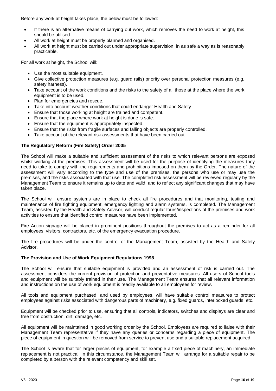Before any work at height takes place, the below must be followed:

- If there is an alternative means of carrying out work, which removes the need to work at height, this should be utilised.
- All work at height must be properly planned and organised.
- All work at height must be carried out under appropriate supervision, in as safe a way as is reasonably practicable.

For all work at height, the School will:

- Use the most suitable equipment.
- Give collective protection measures (e.g. guard rails) priority over personal protection measures (e.g. safety harness).
- Take account of the work conditions and the risks to the safety of all those at the place where the work equipment is to be used.
- Plan for emergencies and rescue.
- Take into account weather conditions that could endanger Health and Safety.
- Ensure that those working at height are trained and competent.
- Ensure that the place where work at height is done is safe.
- Ensure that the equipment is appropriately inspected.
- Ensure that the risks from fragile surfaces and falling objects are properly controlled.
- Take account of the relevant risk assessments that have been carried out.

# <span id="page-15-0"></span>**The Regulatory Reform (Fire Safety) Order 2005**

The School will make a suitable and sufficient assessment of the risks to which relevant persons are exposed whilst working at the premises. This assessment will be used for the purpose of identifying the measures they need to take to comply with the requirements and prohibitions imposed on them by the Order. The nature of the assessment will vary according to the type and use of the premises, the persons who use or may use the premises, and the risks associated with that use. The completed risk assessment will be reviewed regularly by the Management Team to ensure it remains up to date and valid, and to reflect any significant changes that may have taken place.

The School will ensure systems are in place to check all fire procedures and that monitoring, testing and maintenance of fire fighting equipment, emergency lighting and alarm systems, is completed. The Management Team, assisted by the Health and Safety Advisor, will conduct regular tours/inspections of the premises and work activities to ensure that identified control measures have been implemented.

Fire Action signage will be placed in prominent positions throughout the premises to act as a reminder for all employees, visitors, contractors, etc. of the emergency evacuation procedure.

The fire procedures will be under the control of the Management Team, assisted by the Health and Safety Advisor.

# <span id="page-15-1"></span>**The Provision and Use of Work Equipment Regulations 1998**

The School will ensure that suitable equipment is provided and an assessment of risk is carried out. The assessment considers the current provision of protection and preventative measures. All users of School tools and equipment will be suitably trained in their use. The Management Team ensures that all relevant information and instructions on the use of work equipment is readily available to all employees for review.

All tools and equipment purchased, and used by employees, will have suitable control measures to protect employees against risks associated with dangerous parts of machinery, e.g. fixed guards, interlocked guards, etc.

Equipment will be checked prior to use, ensuring that all controls, indicators, switches and displays are clear and free from obstruction, dirt, damage, etc.

All equipment will be maintained in good working order by the School. Employees are required to liaise with their Management Team representative if they have any queries or concerns regarding a piece of equipment. The piece of equipment in question will be removed from service to prevent use and a suitable replacement acquired.

The School is aware that for larger pieces of equipment, for example a fixed piece of machinery, an immediate replacement is not practical. In this circumstance, the Management Team will arrange for a suitable repair to be completed by a person with the relevant competency and skill set.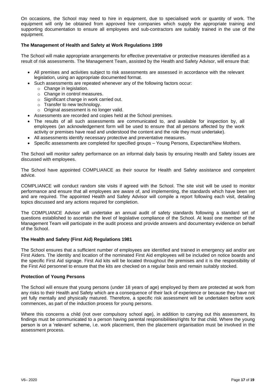On occasions, the School may need to hire in equipment, due to specialised work or quantity of work. The equipment will only be obtained from approved hire companies which supply the appropriate training and supporting documentation to ensure all employees and sub-contractors are suitably trained in the use of the equipment.

# <span id="page-16-0"></span>**The Management of Health and Safety at Work Regulations 1999**

The School will make appropriate arrangements for effective preventative or protective measures identified as a result of risk assessments. The Management Team, assisted by the Health and Safety Advisor, will ensure that:

- All premises and activities subject to risk assessments are assessed in accordance with the relevant legislation, using an appropriate documented format.
- Such assessments are repeated whenever any of the following factors occur:
	- o Change in legislation.
	- o Change in control measures.
	- o Significant change in work carried out.
	- o Transfer to new technology.
	- $\circ$  Original assessment is no longer valid.
- Assessments are recorded and copies held at the School premises.
- The results of all such assessments are communicated to, and available for inspection by, all employees (an acknowledgement form will be used to ensure that all persons affected by the work activity or premises have read and understood the content and the role they must undertake).
- All assessments identify necessary protective and preventative measures.
- Specific assessments are completed for specified groups Young Persons, Expectant/New Mothers.

The School will monitor safety performance on an informal daily basis by ensuring Health and Safety issues are discussed with employees.

The School have appointed COMPLIANCE as their source for Health and Safety assistance and competent advice.

COMPLIANCE will conduct random site visits if agreed with the School. The site visit will be used to monitor performance and ensure that all employees are aware of, and implementing, the standards which have been set and are required. The appointed Health and Safety Advisor will compile a report following each visit, detailing topics discussed and any actions required for completion.

The COMPLIANCE Advisor will undertake an annual audit of safety standards following a standard set of questions established to ascertain the level of legislative compliance of the School. At least one member of the Management Team will participate in the audit process and provide answers and documentary evidence on behalf of the School.

#### <span id="page-16-1"></span>**The Health and Safety (First Aid) Regulations 1981**

The School ensures that a sufficient number of employees are identified and trained in emergency aid and/or are First Aiders. The identity and location of the nominated First Aid employees will be included on notice boards and the specific First Aid signage. First Aid kits will be located throughout the premises and it is the responsibility of the First Aid personnel to ensure that the kits are checked on a regular basis and remain suitably stocked.

#### <span id="page-16-2"></span>**Protection of Young Persons**

The School will ensure that young persons (under 18 years of age) employed by them are protected at work from any risks to their Health and Safety which are a consequence of their lack of experience or because they have not yet fully mentally and physically matured. Therefore, a specific risk assessment will be undertaken before work commences, as part of the induction process for young persons.

Where this concerns a child (not over compulsory school age), in addition to carrying out this assessment, its findings must be communicated to a person having parental responsibilities/rights for that child. Where the young person is on a 'relevant' scheme, i.e. work placement, then the placement organisation must be involved in the assessment process.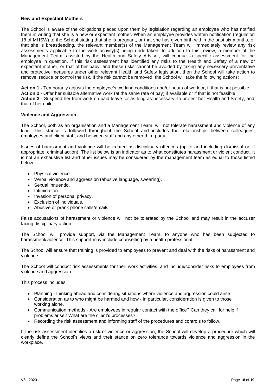#### <span id="page-17-0"></span>**New and Expectant Mothers**

The School is aware of the obligations placed upon them by legislation regarding an employee who has notified them in writing that she is a new or expectant mother. When an employee provides written notification (regulation 18 of MHSW) to the School stating that she is pregnant, or that she has given birth within the past six months, or that she is breastfeeding, the relevant member(s) of the Management Team will immediately review any risk assessments applicable to the work activity(s) being undertaken. In addition to this review, a member of the Management Team, assisted by the Health and Safety Advisor, will conduct a specific assessment for the employee in question. If this risk assessment has identified any risks to the Health and Safety of a new or expectant mother, or that of her baby, and these risks cannot be avoided by taking any necessary preventative and protective measures under other relevant Health and Safety legislation, then the School will take action to remove, reduce or control the risk. If the risk cannot be removed, the School will take the following actions:

**Action 1 -** Temporarily adjusts the employee's working conditions and/or hours of work or, if that is not possible: **Action 2 -** Offer her suitable alternative work (at the same rate of pay) if available or if that is not feasible: **Action 3** - Suspend her from work on paid leave for as long as necessary, to protect her Health and Safety, and that of her child.

#### <span id="page-17-1"></span>**Violence and Aggression**

The School, both as an organisation and a Management Team, will not tolerate harassment and violence of any kind. This stance is followed throughout the School and includes the relationships between colleagues, employees and client staff, and between staff and any other third party.

Issues of harassment and violence will be treated as disciplinary offences (up to and including dismissal or, if appropriate, criminal action). The list below is an indicator as to what constitutes harassment or violent conduct. It is not an exhaustive list and other issues may be considered by the management team as equal to those listed below:

- Physical violence.
- Verbal violence and aggression (abusive language, swearing).
- Sexual innuendo.
- Intimidation.
- Invasion of personal privacy.
- Exclusion of individuals.
- Abusive or prank phone calls/emails.

False accusations of harassment or violence will not be tolerated by the School and may result in the accuser facing disciplinary action.

The School will provide support, via the Management Team, to anyone who has been subjected to harassment/violence. This support may include counselling by a health professional.

The School will ensure that training is provided to employees to prevent and deal with the risks of harassment and violence.

The School will conduct risk assessments for their work activities, and include/consider risks to employees from violence and aggression.

This process includes:

- Planning thinking ahead and considering situations where violence and aggression could arise.
- Consideration as to who might be harmed and how in particular, consideration is given to those working alone.
- Communication methods Are employees in regular contact with the office? Can they call for help if problems arise? What are the client's processes?
- Recording the risk assessment and informing staff of the procedures and controls to follow.

If the risk assessment identifies a risk of violence or aggression, the School will develop a procedure which will clearly define the School's views and their stance on zero tolerance towards violence and aggression in the workplace.